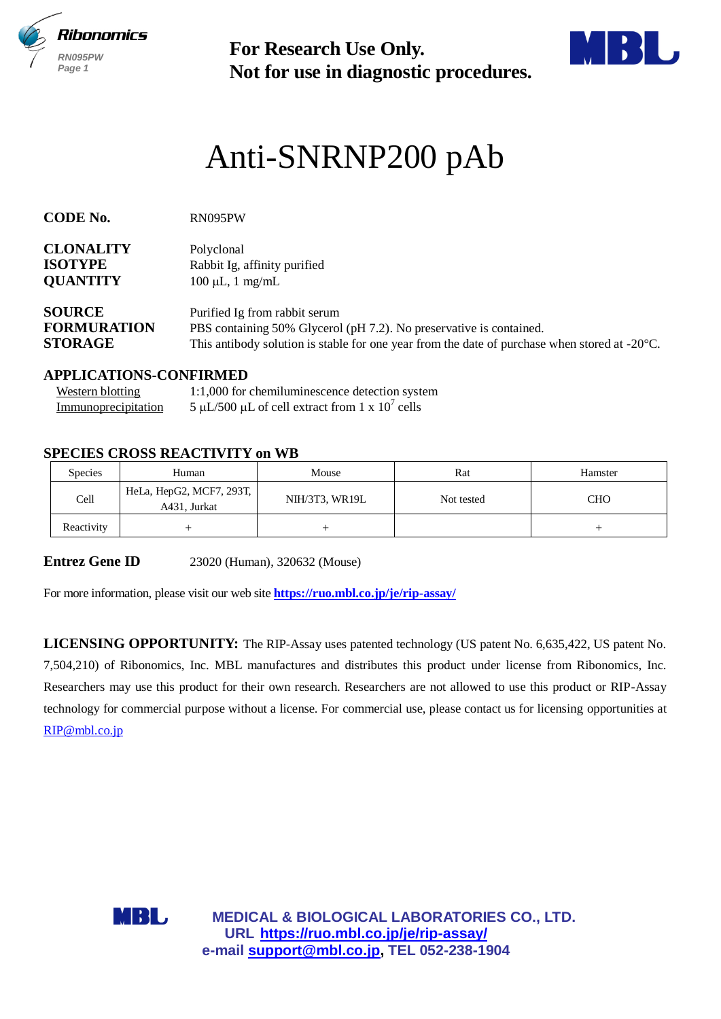



# Anti-SNRNP200 pAb

| RN095PW<br>Page 1                                     |                                                                        | <b>For Research Use Only.</b><br>Not for use in diagnostic procedures.                                                                                                                                                                                                                                                                                                                                                                                                                 |            |            |  |  |
|-------------------------------------------------------|------------------------------------------------------------------------|----------------------------------------------------------------------------------------------------------------------------------------------------------------------------------------------------------------------------------------------------------------------------------------------------------------------------------------------------------------------------------------------------------------------------------------------------------------------------------------|------------|------------|--|--|
|                                                       |                                                                        | Anti-SNRNP200 pAb                                                                                                                                                                                                                                                                                                                                                                                                                                                                      |            |            |  |  |
| <b>CODE No.</b>                                       | RN095PW                                                                |                                                                                                                                                                                                                                                                                                                                                                                                                                                                                        |            |            |  |  |
| <b>CLONALITY</b><br><b>ISOTYPE</b><br><b>QUANTITY</b> |                                                                        | Polyclonal<br>Rabbit Ig, affinity purified<br>$100 \mu L$ , 1 mg/mL                                                                                                                                                                                                                                                                                                                                                                                                                    |            |            |  |  |
| <b>SOURCE</b><br><b>FORMURATION</b><br><b>STORAGE</b> |                                                                        | Purified Ig from rabbit serum<br>PBS containing 50% Glycerol (pH 7.2). No preservative is contained.<br>This antibody solution is stable for one year from the date of purchase when stored at $-20^{\circ}$ C.                                                                                                                                                                                                                                                                        |            |            |  |  |
| <b>Western blotting</b><br>Immunoprecipitation        | <b>APPLICATIONS-CONFIRMED</b><br><b>SPECIES CROSS REACTIVITY on WB</b> | 1:1,000 for chemiluminescence detection system<br>5 µL/500 µL of cell extract from 1 x $10^7$ cells                                                                                                                                                                                                                                                                                                                                                                                    |            |            |  |  |
| Species                                               | Human                                                                  | Mouse                                                                                                                                                                                                                                                                                                                                                                                                                                                                                  | Rat        | Hamster    |  |  |
| Cell                                                  | HeLa, HepG2, MCF7, 293T,<br>A431, Jurkat                               | NIH/3T3, WR19L                                                                                                                                                                                                                                                                                                                                                                                                                                                                         | Not tested | <b>CHO</b> |  |  |
| Reactivity                                            | $^{+}$                                                                 | $^{+}$                                                                                                                                                                                                                                                                                                                                                                                                                                                                                 |            | $^{+}$     |  |  |
| <b>Entrez Gene ID</b>                                 |                                                                        | 23020 (Human), 320632 (Mouse)<br>For more information, please visit our web site <b>https://ruo.mbl.co.jp/je/rip-assay/</b>                                                                                                                                                                                                                                                                                                                                                            |            |            |  |  |
| RIP@mbl.co.jp                                         |                                                                        | <b>LICENSING OPPORTUNITY:</b> The RIP-Assay uses patented technology (US patent No. 6,635,422, US patent No.<br>7,504,210) of Ribonomics, Inc. MBL manufactures and distributes this product under license from Ribonomics, Inc.<br>Researchers may use this product for their own research. Researchers are not allowed to use this product or RIP-Assay<br>technology for commercial purpose without a license. For commercial use, please contact us for licensing opportunities at |            |            |  |  |
|                                                       |                                                                        |                                                                                                                                                                                                                                                                                                                                                                                                                                                                                        |            |            |  |  |

### **APPLICATIONS-CONFIRMED**

| Western blotting    | 1:1,000 for chemiluminescence detection system    |
|---------------------|---------------------------------------------------|
| Immunoprecipitation | 5 µL/500 µL of cell extract from 1 x $10^7$ cells |

# **SPECIES CROSS REACTIVITY on WB**

| <b>Species</b> | Human                                    | Mouse          | Rat        | Hamster |
|----------------|------------------------------------------|----------------|------------|---------|
| Cell           | HeLa, HepG2, MCF7, 293T,<br>A431, Jurkat | NIH/3T3, WR19L | Not tested | CHO     |
| Reactivity     |                                          |                |            |         |

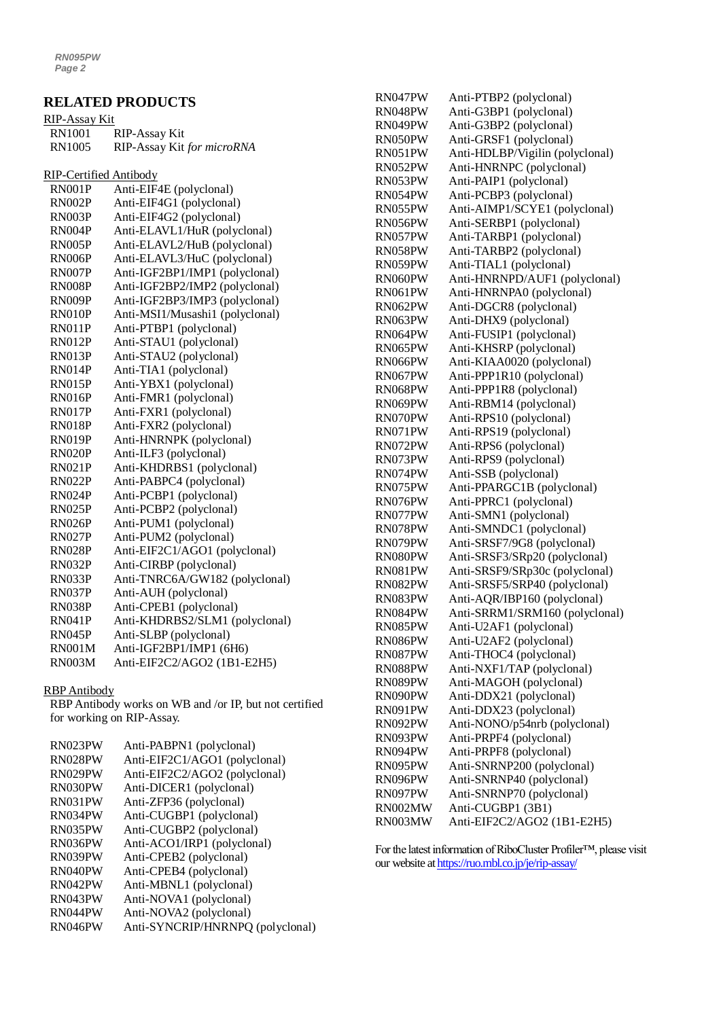# **RELATED PRODUCTS**

| RIP-Assay Kit |                            |
|---------------|----------------------------|
| RN1001        | RIP-Assay Kit              |
| RN1005        | RIP-Assay Kit for microRNA |

RIP-Certified Antibody

| <b>RN001P</b> | Anti-EIF4E (polyclonal)         |
|---------------|---------------------------------|
| <b>RN002P</b> | Anti-EIF4G1 (polyclonal)        |
| RN003P        | Anti-EIF4G2 (polyclonal)        |
| RN004P        | Anti-ELAVL1/HuR (polyclonal)    |
| <b>RN005P</b> | Anti-ELAVL2/HuB (polyclonal)    |
| <b>RN006P</b> | Anti-ELAVL3/HuC (polyclonal)    |
| <b>RN007P</b> | Anti-IGF2BP1/IMP1 (polyclonal)  |
| <b>RN008P</b> | Anti-IGF2BP2/IMP2 (polyclonal)  |
| <b>RN009P</b> | Anti-IGF2BP3/IMP3 (polyclonal)  |
| <b>RN010P</b> | Anti-MSI1/Musashi1 (polyclonal) |
| <b>RN011P</b> | Anti-PTBP1 (polyclonal)         |
| <b>RN012P</b> | Anti-STAU1 (polyclonal)         |
| <b>RN013P</b> | Anti-STAU2 (polyclonal)         |
| <b>RN014P</b> | Anti-TIA1 (polyclonal)          |
| <b>RN015P</b> | Anti-YBX1 (polyclonal)          |
| <b>RN016P</b> | Anti-FMR1 (polyclonal)          |
| <b>RN017P</b> | Anti-FXR1 (polyclonal)          |
| <b>RN018P</b> | Anti-FXR2 (polyclonal)          |
| <b>RN019P</b> | Anti-HNRNPK (polyclonal)        |
| <b>RN020P</b> | Anti-ILF3 (polyclonal)          |
| <b>RN021P</b> | Anti-KHDRBS1 (polyclonal)       |
| <b>RN022P</b> | Anti-PABPC4 (polyclonal)        |
| <b>RN024P</b> | Anti-PCBP1 (polyclonal)         |
| <b>RN025P</b> | Anti-PCBP2 (polyclonal)         |
| <b>RN026P</b> | Anti-PUM1 (polyclonal)          |
| <b>RN027P</b> | Anti-PUM2 (polyclonal)          |
| <b>RN028P</b> | Anti-EIF2C1/AGO1 (polyclonal)   |
| <b>RN032P</b> | Anti-CIRBP (polyclonal)         |
| <b>RN033P</b> | Anti-TNRC6A/GW182 (polyclonal)  |
| <b>RN037P</b> | Anti-AUH (polyclonal)           |
| <b>RN038P</b> | Anti-CPEB1 (polyclonal)         |
| <b>RN041P</b> | Anti-KHDRBS2/SLM1 (polyclonal)  |
| <b>RN045P</b> | Anti-SLBP (polyclonal)          |
| <b>RN001M</b> | Anti-IGF2BP1/IMP1 (6H6)         |
| <b>RN003M</b> | Anti-EIF2C2/AGO2 (1B1-E2H5)     |

#### RBP Antibody

RBP Antibody works on WB and /or IP, but not certified for working on RIP-Assay.

| RN023PW | Anti-PABPN1 (polyclonal)         |
|---------|----------------------------------|
| RN028PW | Anti-EIF2C1/AGO1 (polyclonal)    |
| RN029PW | Anti-EIF2C2/AGO2 (polyclonal)    |
| RN030PW | Anti-DICER1 (polyclonal)         |
| RN031PW | Anti-ZFP36 (polyclonal)          |
| RN034PW | Anti-CUGBP1 (polyclonal)         |
| RN035PW | Anti-CUGBP2 (polyclonal)         |
| RN036PW | Anti-ACO1/IRP1 (polyclonal)      |
| RN039PW | Anti-CPEB2 (polyclonal)          |
| RN040PW | Anti-CPEB4 (polyclonal)          |
| RN042PW | Anti-MBNL1 (polyclonal)          |
| RN043PW | Anti-NOVA1 (polyclonal)          |
| RN044PW | Anti-NOVA2 (polyclonal)          |
| RN046PW | Anti-SYNCRIP/HNRNPQ (polyclonal) |

| RN047PW | Anti-PTBP2 (polyclonal)         |
|---------|---------------------------------|
| RN048PW | Anti-G3BP1 (polyclonal)         |
| RN049PW | Anti-G3BP2 (polyclonal)         |
| RN050PW | Anti-GRSF1 (polyclonal)         |
| RN051PW | Anti-HDLBP/Vigilin (polyclonal) |
| RN052PW | Anti-HNRNPC (polyclonal)        |
| RN053PW | Anti-PAIP1 (polyclonal)         |
| RN054PW | Anti-PCBP3 (polyclonal)         |
| RN055PW | Anti-AIMP1/SCYE1 (polyclonal)   |
| RN056PW | Anti-SERBP1 (polyclonal)        |
| RN057PW | Anti-TARBP1 (polyclonal)        |
| RN058PW | Anti-TARBP2 (polyclonal)        |
| RN059PW | Anti-TIAL1 (polyclonal)         |
| RN060PW | Anti-HNRNPD/AUF1 (polyclonal)   |
| RN061PW | Anti-HNRNPA0 (polyclonal)       |
| RN062PW | Anti-DGCR8 (polyclonal)         |
| RN063PW | Anti-DHX9 (polyclonal)          |
| RN064PW | Anti-FUSIP1 (polyclonal)        |
| RN065PW | Anti-KHSRP (polyclonal)         |
| RN066PW | Anti-KIAA0020 (polyclonal)      |
| RN067PW | Anti-PPP1R10 (polyclonal)       |
| RN068PW | Anti-PPP1R8 (polyclonal)        |
| RN069PW | Anti-RBM14 (polyclonal)         |
| RN070PW | Anti-RPS10 (polyclonal)         |
| RN071PW | Anti-RPS19 (polyclonal)         |
| RN072PW | Anti-RPS6 (polyclonal)          |
| RN073PW | Anti-RPS9 (polyclonal)          |
| RN074PW | Anti-SSB (polyclonal)           |
| RN075PW | Anti-PPARGC1B (polyclonal)      |
| RN076PW | Anti-PPRC1 (polyclonal)         |
| RN077PW | Anti-SMN1 (polyclonal)          |
| RN078PW | Anti-SMNDC1 (polyclonal)        |
| RN079PW | Anti-SRSF7/9G8 (polyclonal)     |
| RN080PW | Anti-SRSF3/SRp20 (polyclonal)   |
| RN081PW | Anti-SRSF9/SRp30c (polyclonal)  |
| RN082PW | Anti-SRSF5/SRP40 (polyclonal)   |
| RN083PW | Anti-AQR/IBP160 (polyclonal)    |
| RN084PW | Anti-SRRM1/SRM160 (polyclonal)  |
| RN085PW | Anti-U2AF1 (polyclonal)         |
| RN086PW | Anti-U2AF2 (polyclonal)         |
| RN087PW | Anti-THOC4 (polyclonal)         |
| RN088PW | Anti-NXF1/TAP (polyclonal)      |
| RN089PW | Anti-MAGOH (polyclonal)         |
| RN090PW | Anti-DDX21 (polyclonal)         |
| RN091PW | Anti-DDX23 (polyclonal)         |
| RN092PW | Anti-NONO/p54nrb (polyclonal)   |
| RN093PW | Anti-PRPF4 (polyclonal)         |
| RN094PW | Anti-PRPF8 (polyclonal)         |
| RN095PW | Anti-SNRNP200 (polyclonal)      |
| RN096PW | Anti-SNRNP40 (polyclonal)       |
| RN097PW | Anti-SNRNP70 (polyclonal)       |
| RN002MW | Anti-CUGBP1 (3B1)               |
| RN003MW | Anti-EIF2C2/AGO2 (1B1-E2H5)     |
|         |                                 |

For the latest information of RiboCluster Profiler™, please visit our website a[t https://ruo.mbl.co.jp/je/rip-assay/](https://ruo.mbl.co.jp/je/rip-assay/)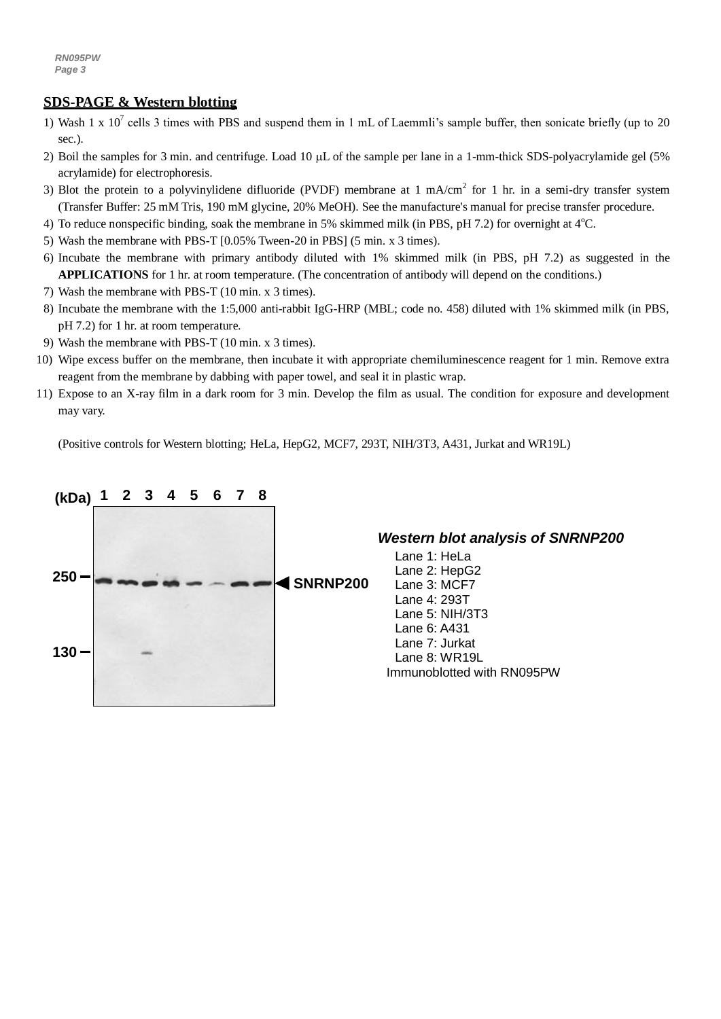## **SDS-PAGE & Western blotting**

- 1) Wash 1 x  $10^7$  cells 3 times with PBS and suspend them in 1 mL of Laemmli's sample buffer, then sonicate briefly (up to 20 sec.).
- 2) Boil the samples for 3 min. and centrifuge. Load 10  $\mu$ L of the sample per lane in a 1-mm-thick SDS-polyacrylamide gel (5%) acrylamide) for electrophoresis.
- 3) Blot the protein to a polyvinylidene difluoride (PVDF) membrane at 1 mA/cm<sup>2</sup> for 1 hr. in a semi-dry transfer system (Transfer Buffer: 25 mM Tris, 190 mM glycine, 20% MeOH). See the manufacture's manual for precise transfer procedure.
- 4) To reduce nonspecific binding, soak the membrane in 5% skimmed milk (in PBS, pH 7.2) for overnight at  $4^{\circ}$ C.
- 5) Wash the membrane with PBS-T [0.05% Tween-20 in PBS] (5 min. x 3 times).
- 6) Incubate the membrane with primary antibody diluted with 1% skimmed milk (in PBS, pH 7.2) as suggested in the **APPLICATIONS** for 1 hr. at room temperature. (The concentration of antibody will depend on the conditions.)
- 7) Wash the membrane with PBS-T (10 min. x 3 times).
- 8) Incubate the membrane with the 1:5,000 anti-rabbit IgG-HRP (MBL; code no. 458) diluted with 1% skimmed milk (in PBS, pH 7.2) for 1 hr. at room temperature.
- 9) Wash the membrane with PBS-T (10 min. x 3 times).
- 10) Wipe excess buffer on the membrane, then incubate it with appropriate chemiluminescence reagent for 1 min. Remove extra reagent from the membrane by dabbing with paper towel, and seal it in plastic wrap.
- 11) Expose to an X-ray film in a dark room for 3 min. Develop the film as usual. The condition for exposure and development may vary.

(Positive controls for Western blotting; HeLa, HepG2, MCF7, 293T, NIH/3T3, A431, Jurkat and WR19L)